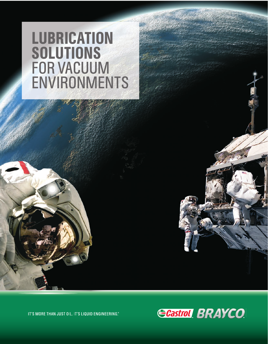# LUBRICATION **SOLUTIONS** FOR VACUUM ENVIRONMENTS

IT'S MORE THAN JUST OIL. IT'S LIQUID ENGINEERING.®

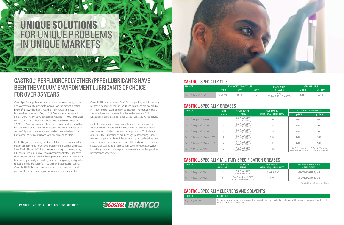Castrol perfluoropolyether lubricants are the lowest outgassing and lowest volatility lubricants available on the market. Castrol Brayco® 815 Z oil is the standard for low outgassing, low temperature lubricants. Brayco 815 Z combines a pour point below -70°C, ASTM E595 outgassing results of <1.0% Total Mass Loss and <.01% Collectible Volatile Condensable Materials at 125°C and 10-5 torr vacuum. As a stand-alone product or as the base oil in one of our many PFPE greases, Brayco 815 Z has been successfully used in many manned and unmanned missions in Earth orbit, as well as missions to the Moon and to Mars.

Castrol began customizing product solutions for semiconductors customers in the mid-1990s by developing the Castrol Microcote (now Castrol Braycote®) line of low outgassing and low volatility lubricants. Like our Castrol Brayco perfluoropolyether lubricants, the Braycote product line has been proven to enhance equipment functions by virtually eliminating lubricant outgassing and greatly reducing the formation of particulates and chemical reactions. Castrol's PFPE lubricants are ideal for vacuum, cleanroom and reactive chemical (e.g. oxygen) environments and applications.

Castrol PFPE lubricants are LOX/GOX compatible, exhibit a strong resistance to most chemicals, acids and bases and are not soluble in jet fuel and rocket propellant applications. Recognizing that a special solvent was required to effectively clean our PFPE lubricants, Castrol developed the Castrol Brayco IC X-100 solvent.

Castrol's research and development capabilities provide the analysis our customers need to determine the best lubrication solutions for critical and non-critical applications. Typical areas of use are the lubrication of ball bearings, roller bearings, linear motion components, key miniature bearings, sinter bearings, lead screws, vacuum pumps, valves, wafer lifts and process chamber shutters, as well as other applications where evaporative weight loss at high temperature, vapor pressure and/or low temperature performance are critical.

## CASTROL® PERFLUOROPOLYETHER (PFPE) LUBRICANTS HAVE BEEN THE VACUUM ENVIRONMENT LUBRICANTS OF CHOICE FOR OVER 35 YEARS.



| <b>PRODUCT</b>                    | KINEMATIC VISCOSITY . cST |          | EVAPORATION | <b>VAPOR PRESSURE</b>          |              |             |
|-----------------------------------|---------------------------|----------|-------------|--------------------------------|--------------|-------------|
|                                   | 100°C                     | 40°C     | -40°C       | WT LOSS %                      | @20°C        | @100°C      |
| Castrol <sup>®</sup> Brayco® 815Z | 45 $(99^{\circ}C)$        | 148(38°) | 6,500       | 0.36<br>72 hrs @ 232°C (450°F) | $4x10^{-13}$ | $2x10^{-9}$ |

| PRODUCT          | DESCRIPTION                                                            |
|------------------|------------------------------------------------------------------------|
| Brayco® IC X-100 | Designed for use in grease plating<br>metals, plastics and elastomers. |

IT'S MORE THAN JUST OIL. IT'S LIQUID ENGINEERING.®

**ECastrol BRAYCO** 

| <b>PRODUCT</b>                   | <b>NLGI</b>    | <b>TEMPERATURE</b>                                                             | EVAPORATION               | <b>BASE OIL VAPOR PRESSURE</b>                  |                                                   |
|----------------------------------|----------------|--------------------------------------------------------------------------------|---------------------------|-------------------------------------------------|---------------------------------------------------|
|                                  | <b>GRADE</b>   | RANGE                                                                          | WT LOSS % / 22 HRS, 204°C | $@20^{\circ}C$                                  | $\omega$ 100°C                                    |
| Castrol® Braycote® 600 EF        |                | $-80^{\circ}$ C to 204 $^{\circ}$ C<br>$(-112^{\circ}$ F to $400^{\circ}$ F)   | 0.26                      | $4x10^{-13}$                                    | $2x10^{-9}$                                       |
| Castrol® Braycote® 601 EF        |                | -80 $^{\circ}$ C to 204 $^{\circ}$ C<br>$(-112^{\circ}$ F to 400 $^{\circ}$ F) | 0.87                      | $4x10^{-13}$                                    | $2x10^{-9}$                                       |
| Castrol® Braycote® 602 EF        |                | -80 $^{\circ}$ C to 204 $^{\circ}$ C<br>$(-112^{\circ}$ F to $400^{\circ}$ F)  | 0.22                      | $4x10^{-13}$                                    | $2x10^{-9}$                                       |
| Castrol® Braycote® Micronic 700  |                | $-80^{\circ}$ C to 204 $^{\circ}$ C<br>$(-112^{\circ}$ F to $400^{\circ}$ F)   | 0.14                      | $4x10^{-13}$                                    | $2x10^{-9}$                                       |
| Castrol® Braycote® Micronic 1613 | $\overline{2}$ | $-72^{\circ}$ C to 204 $^{\circ}$ C<br>$(-100^{\circ}$ F to $400^{\circ}$ F)   | 0.18                      | $4x10^{-13}$                                    | $2x10^{-9}$                                       |
| Castrol® Microcote® 296          |                | $-50^{\circ}$ C to 204 $^{\circ}$ C<br>(-58°F to 400°F)                        | 0.14                      | $5x10^{-13}$ for whole<br>grease (extrapolated) | $3.5x10^{-10}$ for whole<br>grease (extrapolated) |

| <b>PRODUCT</b>          | NLGI GRADE<br>22 HRS. 204°C | <b>TEMPERATURE</b><br>RANGE                                                                   | EVAPORATION<br>WT LOSS % / 22 HRS, 204°C | <b>MILITARY SPECIFICATION</b><br><b>CERTIFICATION</b> |  |
|-------------------------|-----------------------------|-----------------------------------------------------------------------------------------------|------------------------------------------|-------------------------------------------------------|--|
| Castrol® Braycote® 804  |                             | -54°C to 149°C<br>(-65°F to 300°F)                                                            | 10.0 @ 149 °C                            | MIL-PRF-27617F, Type 1                                |  |
| Castrol® Braycote® 806* |                             | -30 $^{\circ}$ C to above 204 $^{\circ}$ C<br>$(-22^{\circ}F \text{ to above } 400^{\circ}F)$ | .60                                      | MIL-PRF-27617F, Type III                              |  |

#### CASTROL SPECIALTY OILS

#### CASTROL SPECIALTY CLEANERS AND SOLVENTS

#### CASTROL SPECIALTY GREASES

### CASTROL SPECIALTY MILITARY SPECIFICATION GREASES

\* available with Corrosion Inhibitor

perfluorinated lubricants and other halogenated lubricants. Compatible with most